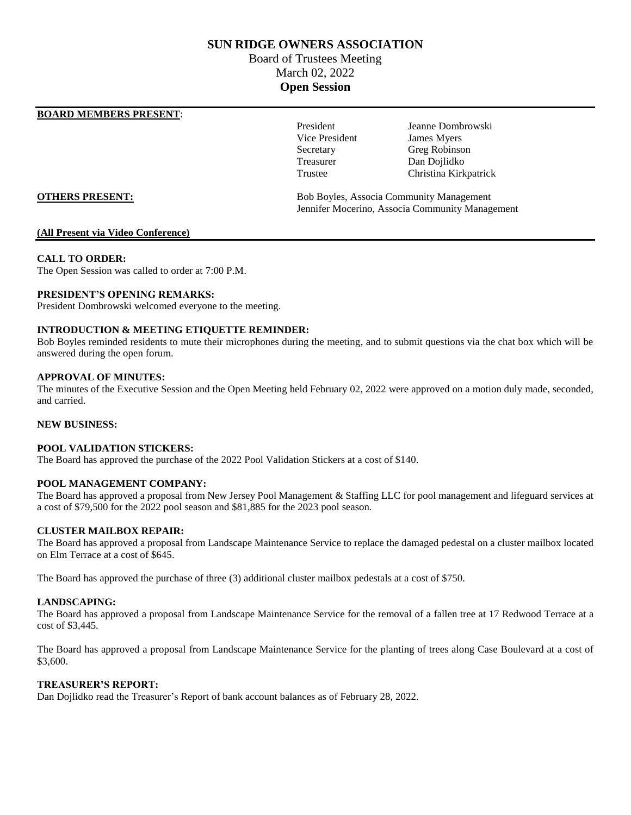# **SUN RIDGE OWNERS ASSOCIATION**

# Board of Trustees Meeting March 02, 2022 **Open Session**

# **BOARD MEMBERS PRESENT**:

Vice President James Myers Treasurer Dan Dojlidko

President Jeanne Dombrowski Secretary Greg Robinson Trustee Christina Kirkpatrick

**OTHERS PRESENT:** Bob Boyles, Associa Community Management Jennifer Mocerino, Associa Community Management

# **(All Present via Video Conference)**

# **CALL TO ORDER:**

The Open Session was called to order at 7:00 P.M.

# **PRESIDENT'S OPENING REMARKS:**

President Dombrowski welcomed everyone to the meeting.

# **INTRODUCTION & MEETING ETIQUETTE REMINDER:**

Bob Boyles reminded residents to mute their microphones during the meeting, and to submit questions via the chat box which will be answered during the open forum.

# **APPROVAL OF MINUTES:**

The minutes of the Executive Session and the Open Meeting held February 02, 2022 were approved on a motion duly made, seconded, and carried.

# **NEW BUSINESS:**

# **POOL VALIDATION STICKERS:**

The Board has approved the purchase of the 2022 Pool Validation Stickers at a cost of \$140.

# **POOL MANAGEMENT COMPANY:**

The Board has approved a proposal from New Jersey Pool Management & Staffing LLC for pool management and lifeguard services at a cost of \$79,500 for the 2022 pool season and \$81,885 for the 2023 pool season.

# **CLUSTER MAILBOX REPAIR:**

The Board has approved a proposal from Landscape Maintenance Service to replace the damaged pedestal on a cluster mailbox located on Elm Terrace at a cost of \$645.

The Board has approved the purchase of three (3) additional cluster mailbox pedestals at a cost of \$750.

# **LANDSCAPING:**

The Board has approved a proposal from Landscape Maintenance Service for the removal of a fallen tree at 17 Redwood Terrace at a cost of \$3,445.

The Board has approved a proposal from Landscape Maintenance Service for the planting of trees along Case Boulevard at a cost of \$3,600.

# **TREASURER'S REPORT:**

Dan Dojlidko read the Treasurer's Report of bank account balances as of February 28, 2022.